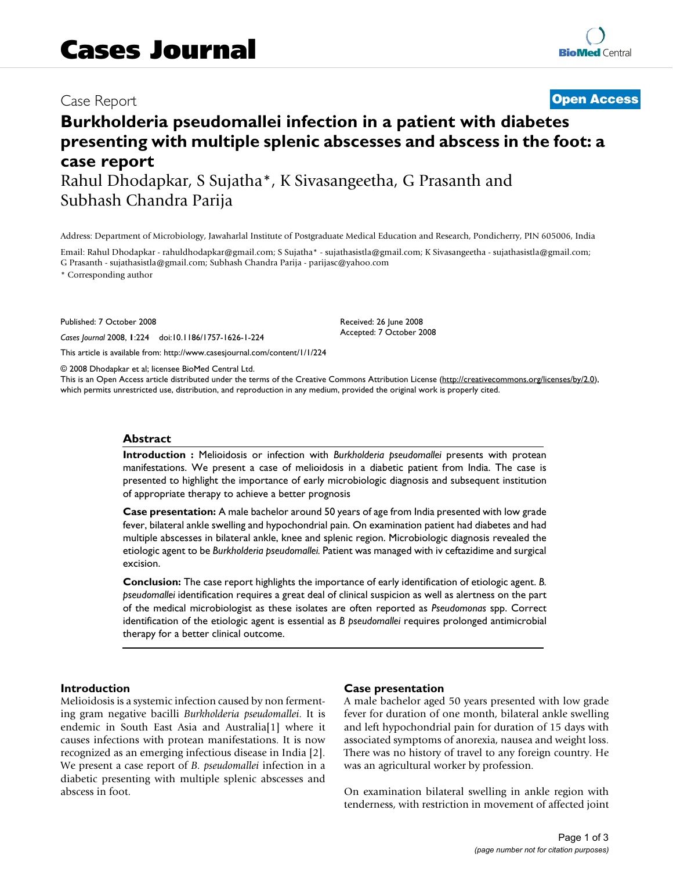## Case Report **[Open Access](http://www.biomedcentral.com/info/about/charter/)**

# **Burkholderia pseudomallei infection in a patient with diabetes presenting with multiple splenic abscesses and abscess in the foot: a case report** Rahul Dhodapkar, S Sujatha\*, K Sivasangeetha, G Prasanth and

Subhash Chandra Parija

Address: Department of Microbiology, Jawaharlal Institute of Postgraduate Medical Education and Research, Pondicherry, PIN 605006, India

Email: Rahul Dhodapkar - rahuldhodapkar@gmail.com; S Sujatha\* - sujathasistla@gmail.com; K Sivasangeetha - sujathasistla@gmail.com; G Prasanth - sujathasistla@gmail.com; Subhash Chandra Parija - parijasc@yahoo.com

\* Corresponding author

Published: 7 October 2008

*Cases Journal* 2008, **1**:224 doi:10.1186/1757-1626-1-224

[This article is available from: http://www.casesjournal.com/content/1/1/224](http://www.casesjournal.com/content/1/1/224)

© 2008 Dhodapkar et al; licensee BioMed Central Ltd.

This is an Open Access article distributed under the terms of the Creative Commons Attribution License [\(http://creativecommons.org/licenses/by/2.0\)](http://creativecommons.org/licenses/by/2.0), which permits unrestricted use, distribution, and reproduction in any medium, provided the original work is properly cited.

Received: 26 June 2008 Accepted: 7 October 2008

#### **Abstract**

**Introduction :** Melioidosis or infection with *Burkholderia pseudomallei* presents with protean manifestations. We present a case of melioidosis in a diabetic patient from India. The case is presented to highlight the importance of early microbiologic diagnosis and subsequent institution of appropriate therapy to achieve a better prognosis

**Case presentation:** A male bachelor around 50 years of age from India presented with low grade fever, bilateral ankle swelling and hypochondrial pain. On examination patient had diabetes and had multiple abscesses in bilateral ankle, knee and splenic region. Microbiologic diagnosis revealed the etiologic agent to be *Burkholderia pseudomallei.* Patient was managed with iv ceftazidime and surgical excision.

**Conclusion:** The case report highlights the importance of early identification of etiologic agent. *B. pseudomallei* identification requires a great deal of clinical suspicion as well as alertness on the part of the medical microbiologist as these isolates are often reported as *Pseudomonas* spp. Correct identification of the etiologic agent is essential as *B pseudomallei* requires prolonged antimicrobial therapy for a better clinical outcome.

#### **Introduction**

Melioidosis is a systemic infection caused by non fermenting gram negative bacilli *Burkholderia pseudomallei*. It is endemic in South East Asia and Australia[1] where it causes infections with protean manifestations. It is now recognized as an emerging infectious disease in India [2]. We present a case report of *B. pseudomallei* infection in a diabetic presenting with multiple splenic abscesses and abscess in foot.

#### **Case presentation**

A male bachelor aged 50 years presented with low grade fever for duration of one month, bilateral ankle swelling and left hypochondrial pain for duration of 15 days with associated symptoms of anorexia, nausea and weight loss. There was no history of travel to any foreign country. He was an agricultural worker by profession.

On examination bilateral swelling in ankle region with tenderness, with restriction in movement of affected joint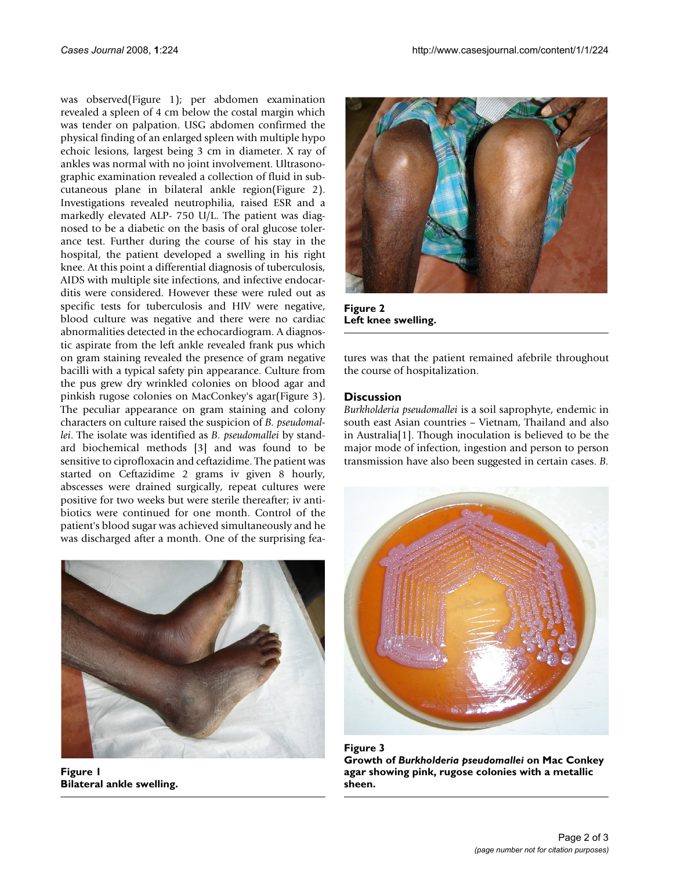was observed(Figure 1); per abdomen examination revealed a spleen of 4 cm below the costal margin which was tender on palpation. USG abdomen confirmed the physical finding of an enlarged spleen with multiple hypo echoic lesions, largest being 3 cm in diameter. X ray of ankles was normal with no joint involvement. Ultrasonographic examination revealed a collection of fluid in subcutaneous plane in bilateral ankle region(Figure 2). Investigations revealed neutrophilia, raised ESR and a markedly elevated ALP- 750 U/L. The patient was diagnosed to be a diabetic on the basis of oral glucose tolerance test. Further during the course of his stay in the hospital, the patient developed a swelling in his right knee. At this point a differential diagnosis of tuberculosis, AIDS with multiple site infections, and infective endocarditis were considered. However these were ruled out as specific tests for tuberculosis and HIV were negative, blood culture was negative and there were no cardiac abnormalities detected in the echocardiogram. A diagnostic aspirate from the left ankle revealed frank pus which on gram staining revealed the presence of gram negative bacilli with a typical safety pin appearance. Culture from the pus grew dry wrinkled colonies on blood agar and pinkish rugose colonies on MacConkey's agar(Figure 3). The peculiar appearance on gram staining and colony characters on culture raised the suspicion of *B. pseudomallei*. The isolate was identified as *B. pseudomallei* by standard biochemical methods [3] and was found to be sensitive to ciprofloxacin and ceftazidime. The patient was started on Ceftazidime 2 grams iv given 8 hourly, abscesses were drained surgically, repeat cultures were positive for two weeks but were sterile thereafter; iv antibiotics were continued for one month. Control of the patient's blood sugar was achieved simultaneously and he was discharged after a month. One of the surprising fea-



**Figure 1 Bilateral ankle swelling.**



**Figure 2 Left knee swelling.**

tures was that the patient remained afebrile throughout the course of hospitalization.

### **Discussion**

*Burkholderia pseudomallei* is a soil saprophyte, endemic in south east Asian countries – Vietnam, Thailand and also in Australia[1]. Though inoculation is believed to be the major mode of infection, ingestion and person to person transmission have also been suggested in certain cases. *B.*



Figure 3 **Growth of** *Burkholderia pseudomallei* **on Mac Conkey agar showing pink, rugose colonies with a metallic sheen.**